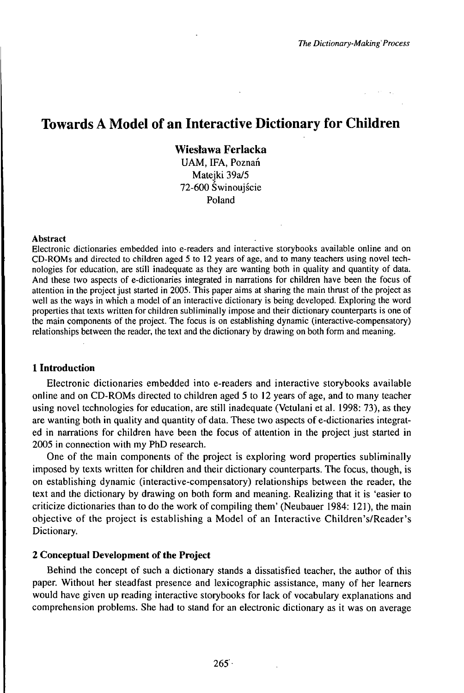# Towards A Model of an Interactive Dictionary for Children

**Wiesława FerIacka** UAM, ffA, Poznań Matejki 39a/5 72-600 Świnoujście Poland

#### Abstract

Electronic dictionaries embedded into e-readers and interactive storybooks available online and on CD-ROMs and directed to children aged 5 to 12 years of age, and to many teachers using novel technologies for education, are still inadequate as they are wanting both in quality and quantity of data. And these two aspects of e-dictionaries integrated in narrations for children have been the focus of attention in the project just started in 2005. This paper aims at sharing the main thrust of the project as well as the ways in which a model of an interactive dictionary is being developed. Exploring the word properties that texts written for children subliminally impose and their dictionary counterparts is one of the main components of the project. The focus is on establishing dynamic (interactive-compensatory) relationships between the reader, the text and the dictionary by drawing on both form and meaning.

# **1 Introduction**

Electronic dictionaries embedded into e-readers and interactive storybooks available online and on CD-ROMs directed to children aged 5 to 12 years of age, and to many teacher using novel technologies for education, are still inadequate (Vetulani et al. 1998: 73), as they are wanting both in quality and quantity of data. These two aspects of e-dictionaries integrated in narrations for children have been the focus of attention in the project just started in 2005 in connection with my PhD research.

One of the main components of the project is exploring word properties subliminally imposed by texts written for children and their dictionary counterparts. The focus, though, is on establishing dynamic (interactive-compensatory) relationships between the reader, the text and the dictionary by drawing on both form and meaning. Realizing that it is 'easier to criticize dictionaries than to do the work of compiling them' (Neubauer 1984: 121), the main objective of the project is establishing a Model of an Interactive Children's/Reader's Dictionary.

#### **2 Conceptual Development of the Project**

Behind the concept of such a dictionary stands a dissatisfied teacher, the author of this paper. Without her steadfast presence and lexicographic assistance, many of her learners would have given up reading interactive storybooks for lack of vocabulary explanations and comprehension problems. She had to stand for an electronic dictionary as it was on average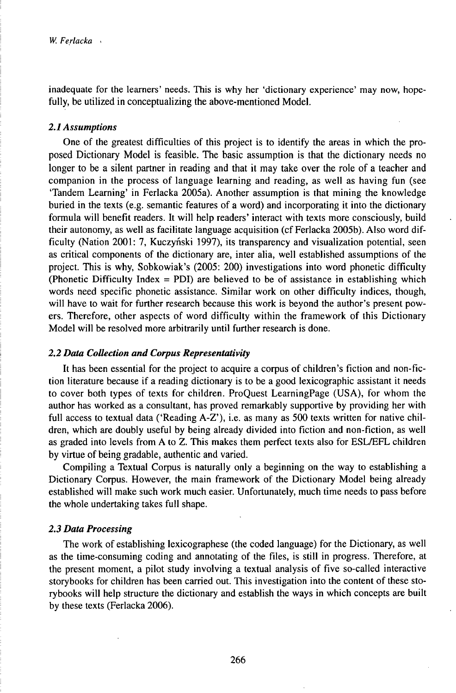inadequate for the learners' needs. This is why her 'dictionary experience' may now, hopefully, be utilized in conceptualizing the above-mentioned Model.

## *2.1Assumptions*

One of the greatest difficulties of this project is to identify the areas in which the proposed Dictionary Model is feasible. The basic assumption is that the dictionary needs no longer to be a silent partner in reading and that it may take over the role of a teacher and companion in the process of language learning and reading, as well as having fun (see 'Tandem Learning' in Ferlacka 2005a). Another assumption is that mining the knowledge buried in the texts (e.g. semantic features of a word) and incorporating it into the dictionary formula will benefit readers. It will help readers' interact with texts more consciously, build their autonomy, as well as facilitate language acquisition (cf Ferlacka 2005b). Also word difficulty (Nation 2001: 7, Kuczyński 1997), its transparency and visualization potential, seen as critical components of the dictionary are, inter alia, well established assumptions of the project. This is why, Sobkowiak's (2005: 200) investigations into word phonetic difficulty (Phonetic Difficulty Index = PDI) are believed to be of assistance in establishing which words need specific phonetic assistance. Similar work on other difficulty indices, though, will have to wait for further research because this work is beyond the author's present powers. Therefore, other aspects of word difficulty within the framework of this Dictionary Model will be resolved more arbitrarily until further research is done.

#### *2.2 Data Collection and Corpus Representativity*

It has been essential for the project to acquire a corpus of children's fiction and non-fiction literature because if a reading dictionary is to be a good lexicographic assistant it needs to cover both types of texts for children. ProQuest LearningPage (USA), for whom the author has worked as a consultant, has proved remarkably supportive by providing her with full access to textual data ('Reading A-Z'), i.e. as many as 500 texts written for native children, which are doubly useful by being already divided into fiction and non-fiction, as well as graded into levels from A to Z. This makes them perfect texts also for ESL/EFL children by virtue of being gradable, authentic and varied.

Compiling a Textual Corpus is naturally only a beginning on the way to establishing a Dictionary Corpus. However, the main framework of the Dictionary Model being already established will make such work much easier. Unfortunately, much time needs to pass before the whole undertaking takes full shape.

## *2.3 Data Processing*

The work of establishing lexicographese (the coded language) for the Dictionary, as well as the time-consuming coding and annotating of the files, is still in progress. Therefore, at the present moment, a pilot study involving a textual analysis of five so-called interactive storybooks for children has been carried out. This investigation into the content of these storybooks will help structure the dictionary and establish the ways in which concepts are built by these texts (Ferlacka 2006).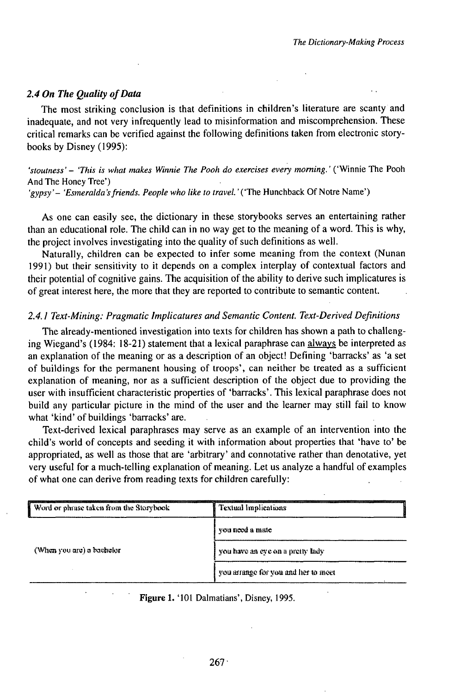# *2.4 On The Quality ofData*

The most striking conclusion is that definitions in children's literature are scanty and inadequate, and not very infrequently lead to misinformation and miscomprehension. These critical remarks can be verified against the following definitions taken from electronic storybooks by Disney (1995):

# *'stoutness'- 'This is what makes Winnie The Pooh do exercises every morning.'* ('Winnie The Pooh And The Honey Tree')

'gypsy' - 'Esmeralda's friends. People who like to travel.' ('The Hunchback Of Notre Name')

As one can easily see, the dictionary in these storybooks serves an entertaining rather than an educational role. The child can in no way get to the meaning of a word. This is why, the project involves investigating into the quality of such definitions as well.

Naturally, children can be expected to infer some meaning from the context (Nunan 1991) but their sensitivity to it depends on a complex interplay of contextual factors and their potential of cognitive gains. The acquisition of the ability to derive such implicatures is of great interest here, the more that they are reported to contribute to semantic content.

## *2.4.1 Text-Mining: Pragmatic Implicatures andSemantic Content. Text-DerivedDefinitions*

The already-mentioned investigation into texts for children has shown a path to challenging Wiegand's (1984: 18-21) statement that a lexical paraphrase can always be interpreted as an explanation of the meaning or as a description of an object! Defining 'barracks' as 'a set of buildings for the permanent housing of troops', can neither be treated as a sufficient explanation of meaning, nor as a sufficient description of the object due to providing the user with insufficient characteristic properties of 'barracks'. This lexical paraphrase does not build any particular picture in the mind of the user and the learner may still fail to know what 'kind' of buildings 'barracks' are.

Text-derived lexical paraphrases may serve as an example of an intervention into the child's world of concepts and seeding it with information about properties that 'have to' be appropriated, as well as those that are 'arbitrary' and connotative rather than denotative, yet very useful for a much-telling explanation of meaning. Let us analyze a handful of examples of what one can derive from reading texts for children carefully:

| Word or phrase taken from the Storybook | Textual Implications                |
|-----------------------------------------|-------------------------------------|
| (When you are) a bachelor               | you need a mate                     |
|                                         | you have an eye on a pretty lady    |
|                                         | you arrange for you and her to meet |

#### **Figure 1.** '101 Dalmatians', Disney, 1995.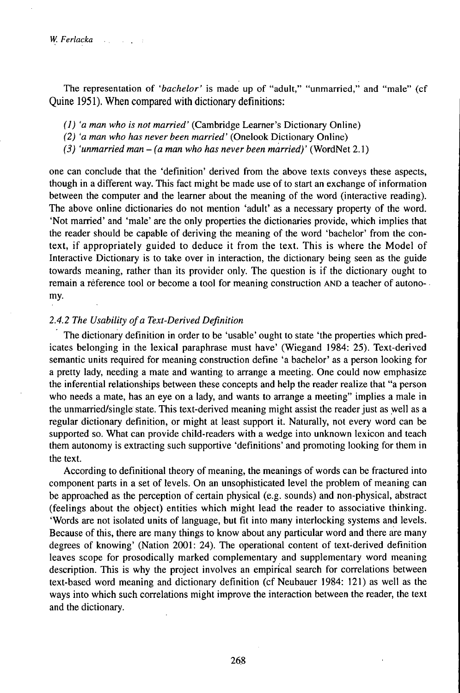The representation of *'bachelor'* is made up of "adult," "unmarried," and "male" (cf Quine 1951). When compared with dictionary definitions:

*(1) 'a man who is not married'* (Cambridge Learner's Dictionary Online)

*(2) 'a man who has never been married'* (Onelook Dictionary Online)

*(3) 'unmarried man -(a man who has never been married)'* (WordNet 2.1)

one can conclude that the 'definition' derived from the above texts conveys these aspects, though in a different way. This fact might be made use of to start an exchange of information between the computer and the learner about the meaning of the word (interactive reading). The above online dictionaries do not mention 'adult' as a necessary property of the word. 'Not married' and 'male' are the only properties the dictionaries provide, which implies that the reader should be capable of deriving the meaning of the word 'bachelor' from the context, if appropriately guided to deduce it from the text. This is where the Model of Interactive Dictionary is to take over in interaction, the dictionary being seen as the guide towards meaning, rather than its provider only. The question is if the dictionary ought to remain a reference tool or become a tool for meaning construction AND a teacher of autonomy.

## *2.4.2 The Usability ofa Text-DerivedDefinition*

The dictionary definition in order to be 'usable' ought to state 'the properties which predicates belonging in the lexical paraphrase must have' (Wiegand 1984: 25). Text-derived semantic units required for meaning construction define 'a bachelor' as a person looking for a pretty lady, needing a mate and wanting to arrange a meeting. One could now emphasize the inferential relationships between these concepts and help the reader realize that "a person who needs a mate, has an eye on a lady, and wants to arrange a meeting" implies a male in the unmarried/single state. This text-derived meaning might assist the reader just as well as a regular dictionary definition, or might at least support it. Naturally, not every word can be supported so. What can provide child-readers with a wedge into unknown lexicon and teach them autonomy is extracting such supportive 'definitions' and promoting looking for them in the text.

According to definitional theory of meaning, the meanings of words can be fractured into component parts in a set of levels. On an unsophisticated level the problem of meaning can be approached as the perception of certain physical (e.g. sounds) and non-physical, abstract (feelings about the object) entities which might lead the reader to associative thinking. 'Words are not isolated units of language, but fit into many interlocking systems and levels. Because of this, there are many things to know about any particular word and there are many degrees of knowing' (Nation 2001: 24). The operational content of text-derived definition leaves scope for prosodically marked complementary and supplementary word meaning description. This is why the project involves an empirical search for correlations between text-based word meaning and dictionary definition (cfNeubauer 1984: 121) as well as the ways into which such correlations might improve the interaction between the reader, the text and the dictionary.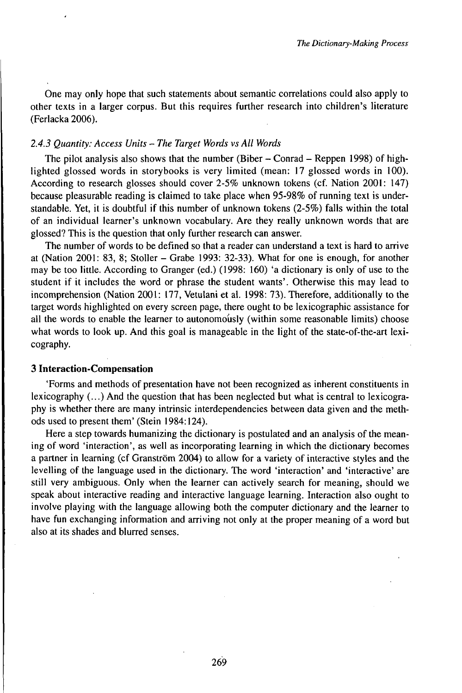One may only hope that such statements about semantic correlations could also apply to other texts in a larger corpus. But this requires further research into children's literature (Ferlacka 2006).

## *2.4.3 Quantity: Access Units - The Target Words vsAll Words*

The pilot analysis also shows that the number (Biber  $-$  Conrad  $-$  Reppen 1998) of highlighted glossed words in storybooks is very limited (mean: 17 glossed words in 100). According to research glosses should cover 2-5% unknown tokens (cf. Nation 2001: 147) because pleasurable reading is claimed to take place when 95-98% of running text is understandable. Yet, it is doubtful if this number of unknown tokens (2-5%) falls within the total of an individual learner's unknown vocabulary. Are they really unknown words that are glossed? This is the question that only further research can answer.

The number of words to be defined so that a reader can understand a text is hard to arrive at (Nation 2001: 83, 8; Stoller - Grabe 1993: 32-33). What for one is enough, for another may be too little. According to Granger (ed.) (1998: 160) 'a dictionary is only of use to the student if it includes the word or phrase the student wants'. Otherwise this may lead to incomprehension (Nation 2001: 177, Vetulani et al. 1998: 73). Therefore, additionally to the target words highlighted on every screen page, there ought to be lexicographic assistance for all the words to enable the learner to autonomously (within some reasonable limits) choose what words to look up. And this goal is manageable in the light of the state-of-the-art lexicography.

## **3 Interaction-Compensation**

'Forms and methods of presentation have not been recognized as inherent constituents in lexicography  $(...)$  And the question that has been neglected but what is central to lexicography is whether there are many intrinsic interdependencies between data given and the methods used to present them' (Stein 1984:124).

Here a step towards humanizing the dictionary is postulated and an analysis of the meaning of word 'interaction', as well as incorporating learning in which the dictionary becomes a partner in learning (cf Granström 2004) to allow for a variety of interactive styles and the levelling of the language used in the dictionary. The word 'interaction' and 'interactive' are still very ambiguous. Only when the learner can actively search for meaning, should we speak about interactive reading and interactive language learning. Interaction also ought to involve playing with the language allowing both the computer dictionary and the learner to have fun exchanging information and arriving not only at the proper meaning of a word but also at its shades and blurred senses.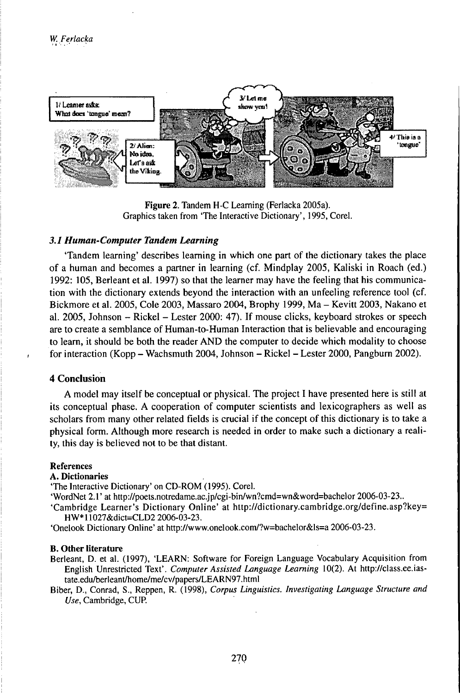

**Figure 2.** Tandem H-C Learning (Ferlacka 2005a). Graphics taken from 'The Interactive Dictionary', 1995, Corel.

## *3.1 Human-Computer Tandem Learning*

'Tandem learning' describes learning in which one part of the dictionary takes the place of a human and becomes a partner in learning (cf. Mindplay 2005, Kaliski in Roach (ed.) 1992: 105, Berleant et al. 1997) so that the learner may have the feeling that his communication with the dictionary extends beyond the interaction with an unfeeling reference tool (cf. Bickmore et al. 2005, Cole 2003, Massaro 2004, Brophy 1999, Ma - Kevitt 2003, Nakano et al. 2005, Johnson - Rickel - Lester 2000: 47). If mouse clicks, keyboard strokes or speech are to create a semblance of Human-to-Human Interaction that is believable and encouraging to learn, it should be both the reader AND the computer to decide which modality to choose for interaction (Kopp - Wachsmuth 2004, Johnson - Rickel - Lester 2000, Pangburn 2002).

# **4 Conclusion**

A model may itself be conceptual or physical. The project I have presented here is still at its conceptual phase. A cooperation of computer scientists and lexicographers as well as scholars from many other related fields is crucial if the concept of this dictionary is to take a physical form. Although more research is needed in order to make such a dictionary a reality, this day is believed not to be that distant.

### References

#### A. **Dictionaries**

'The Interactive Dictionary' on CD-ROM (1995). Corel.

'WordNet 2.1' at http://poets.notredame.ac.jp/cgi-bin/wn?cmd=wn&word=bachelor 2006-03-23..

'Cambridge Learner's Dictionary Online' at http://dictionary.cambridge.org/define.asp?key= HW\*11027&dict=CLD2 2006-03-23.

'Onelook Dictionary Online' at http://www.onelook.com/?w=bachelor&ls=a 2006-03-23.

#### **B. Other literature**

Berleant, D. et al. (1997), 'LEARN: Software for Foreign Language Vocabulary Acquisition from English Unrestricted Text'. Computer Assisted Language Learning 10(2). At http://class.ee.iastate.edu/berleant/home/me/cv/papers/LEARN97.html

Biber, D., Conrad, S., Reppen, R. (1998), *Corpus Linguistics. Investigating Language Structure and Use,* Cambridge, CUP.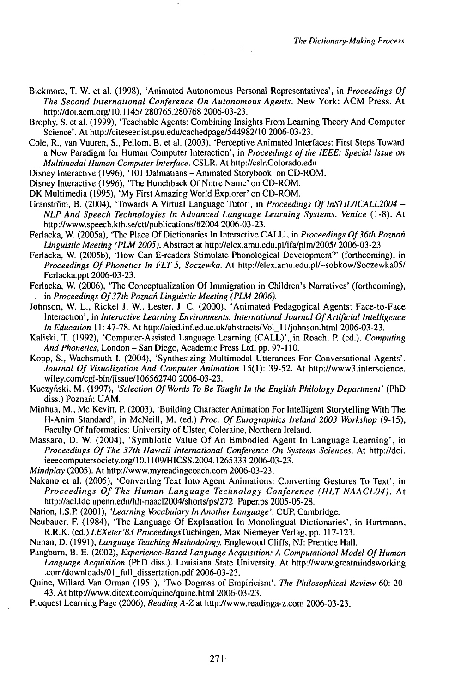Bickmore, T. W. et al. (1998), 'Animated Autonomous Personal Representatives', in *Proceedings Of The Second International Conference On Autonomous Agents.* New York: ACM Press. At http://doi.acm.org/10.1145/ 280765.280768 2006-03-23.

 $\mathcal{L}(\mathcal{A})$  and  $\mathcal{L}(\mathcal{A})$  . The  $\mathcal{L}(\mathcal{A})$ 

Brophy, S. et al. (1999), 'Teachable Agents: Combining Insights From Learning Theory And Computer Science'. At http://citeseer.ist.psu.edu/cachedpage/544982/10 2006-03-23.

Cole, R., van Vuuren, S., Pellom, B. et al. (2003), 'PerceptiveAnimated Interfaces: First Steps Toward a New Paradigm for Human Computer Interaction', in *Proceedings ofthe lEEE: Special Issue on Multimodal Human Computer Interface.* CSLR. At http://cslr.Colorado.edu

Disney Interactive (1996), '101 Dalmatians-Animated Storybook' on CD-ROM.

Disney Interactive (1996), 'The Hunchback Of Notre Name' on CD-ROM.

DK Multimedia (1995), 'My First Amazing World Explorer' on CD-ROM.

Granström, B. (2004), 'Towards A Virtual Language Tutor', in *Proceedings Of InSTIL/ICALL2004* -*NLPAnd Speech Technologies In Advanced Language Learning Systems. Venice* (1-8). At http://www.speech.kth.Se/ctt/publications/#2004 2006-03-23.

Ferlacka, W. (2005a), 'The Place Of Dictionaries In Interactive CALL', in *Proceedings Of36th Poznań Linguistic Meeting (PLM 2005).* Abstract at http://elex.amu.edu.pl/ifa/plm/2005/ 2006-03-23.

Ferlacka, W. (2005b), 'How Can E-readers Stimulate Phonological Development?' (forthcoming), in *Proceedings Of Phonetics In FLT 5, Soczewka.* At http://elex.amu.edu.pl/~sobkow/Soczewka05/ Ferlacka.ppt 2006-03-23.

Ferlacka, W. (2006), 'The Conceptualization Of Immigration in Children's Narratives' (forthcoming), . in *Proceedings Of37th Poznań Linguistic Meeting (PLM 2006).*

Johnson, W. L., Rickel J. W., Lester, J. C. (2000), 'Animated Pedagogical Agents: Face-to-Face Interaction', in *Interactive Learning Environments. International Journal OfArtificial Intelligence* In *Education* 11: 47-78. At http://aied.inf.ed.ac.uk/abstracts/Vol\_11/johnson.html 2006-03-23.

Kaliski, T. (1992), 'Computer-Assisted Language Learning (CALL)', in Roach, P. (ed.). *Computing And Phonetics,* London - San Diego, Academic Press Ltd, pp. 97-110.

Kopp, S., Wachsmuth I. (2004), 'Synthesizing Multimodal Utterances For Conversational Agents'. Journal Of Visualization And Computer Animation 15(1): 39-52. At http://www3.interscience. wiley.com/cgi-bin/jissue/106562740 2006-03-23.

Kuczyński, M. (1997), *'Selection OfWords To Be Taught In the English Philology Department'* (PhD diss.) Poznań: UAM.

Minhua, M., Mc Kevitt, P. (2003), 'Building Character Animation For Intelligent Storytelling With The H-Anim Standard', in McNeill, M. (ed.) *Proc. OfEurographics Ireland 2003 Workshop* (9-15), Faculty Of Informatics: University of Ulster, Coleraine, Northern Ireland.

Massaro, D. W. (2004), 'Symbiotic Value Of An Embodied Agent In Language Learning', in *Proceedings Of The 37th Hawaii International Conference On Systems Sciences.* At http://doi. ieeecomputersociety.org/10.1109/HICSS.2004.1265333 2006-03-23.

*Mindplay* (2005). At http://www.myreadingcoach.com 2006-03-23.

Nakano et al. (2005), 'Converting Text Into Agent Animations: Converting Gestures To Text', in *Proceedings Of The Human Language Technology Conference (HLT-NAACL04).* At http://acl.ldc.upenn.edu/hlt-naacl2004/shorts/ps/272\_Paper.ps 2005-05-28.

Nation, I.S.P. (2001), 'Learning Vocabulary In Another Language'. CUP, Cambridge.

Neubauer, F. (1984), 'The Language Of Explanation In Monolingual Dictionaries', in Hartmann, R.R.K. (ed.) *LEXeter'83 ProceedingsTuebingen,* Max Niemeyer Verlag, pp. 117-123.

Nunan, D. (1991), *Language Teaching Methodology.* Englewood Cliffs, NJ: Prentice Hall.

Pangburn, B. E. (2002), *Experience-Based Language Acquisition: A Computational Model OfHuman Language Acquisition* (PhD diss.). Louisiana State University. At http://www.greatmindsworking .com/downloads/01\_full\_dissertation.pdf2006-03-23.

Quine, Willard Van Orman (1951), 'Two Dogmas ofEmpiricism'. *The Philosophical Review* 60: 20- 43. At http://www.ditext.com/quine/quine.html 2006-03-23.

Proquest Learning Page (2006), *Reading A-Z* at http://www.readinga-z.com 2006-03-23.